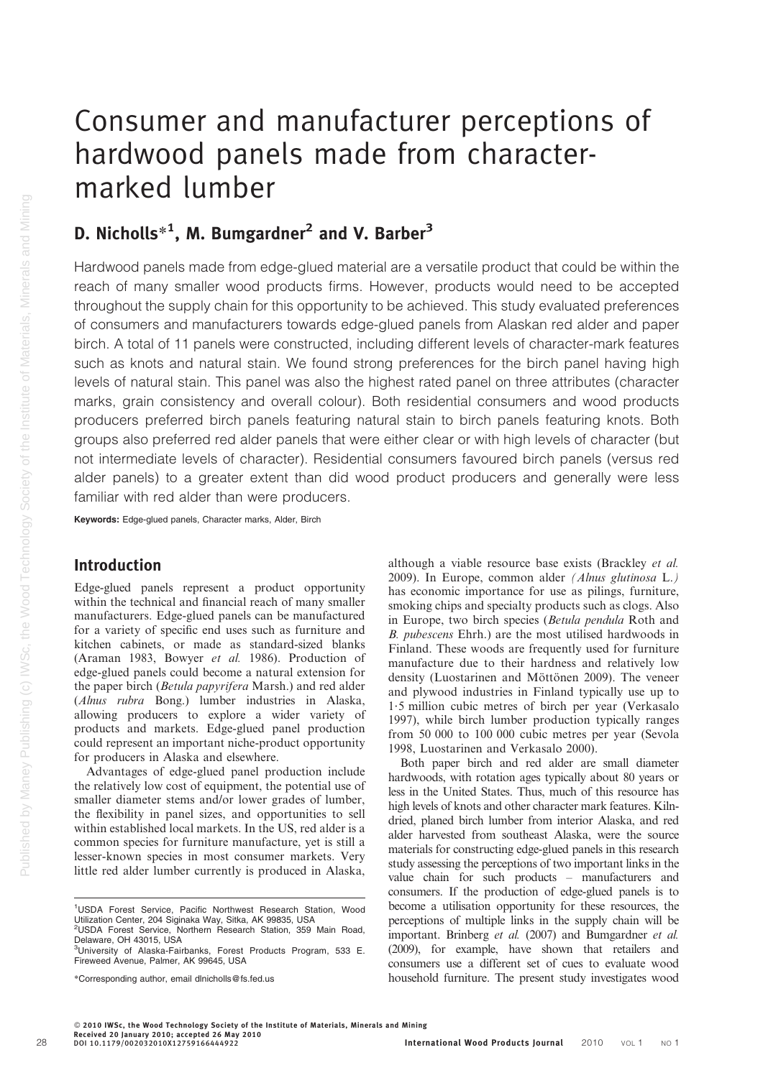# Consumer and manufacturer perceptions of hardwood panels made from charactermarked lumber

## D. Nicholls $^{\ast1}$ , M. Bumgardner $^2$  and V. Barber $^3$

Hardwood panels made from edge-glued material are a versatile product that could be within the reach of many smaller wood products firms. However, products would need to be accepted throughout the supply chain for this opportunity to be achieved. This study evaluated preferences of consumers and manufacturers towards edge-glued panels from Alaskan red alder and paper birch. A total of 11 panels were constructed, including different levels of character-mark features such as knots and natural stain. We found strong preferences for the birch panel having high levels of natural stain. This panel was also the highest rated panel on three attributes (character marks, grain consistency and overall colour). Both residential consumers and wood products producers preferred birch panels featuring natural stain to birch panels featuring knots. Both groups also preferred red alder panels that were either clear or with high levels of character (but not intermediate levels of character). Residential consumers favoured birch panels (versus red alder panels) to a greater extent than did wood product producers and generally were less familiar with red alder than were producers.

Keywords: Edge-glued panels, Character marks, Alder, Birch

## Introduction

Edge-glued panels represent a product opportunity within the technical and financial reach of many smaller manufacturers. Edge-glued panels can be manufactured for a variety of specific end uses such as furniture and kitchen cabinets, or made as standard-sized blanks (Araman 1983, Bowyer et al. 1986). Production of edge-glued panels could become a natural extension for the paper birch (Betula papyrifera Marsh.) and red alder (Alnus rubra Bong.) lumber industries in Alaska, allowing producers to explore a wider variety of products and markets. Edge-glued panel production could represent an important niche-product opportunity for producers in Alaska and elsewhere.

Advantages of edge-glued panel production include the relatively low cost of equipment, the potential use of smaller diameter stems and/or lower grades of lumber, the flexibility in panel sizes, and opportunities to sell within established local markets. In the US, red alder is a common species for furniture manufacture, yet is still a lesser-known species in most consumer markets. Very little red alder lumber currently is produced in Alaska,

although a viable resource base exists (Brackley et al. 2009). In Europe, common alder (Alnus glutinosa L.) has economic importance for use as pilings, furniture, smoking chips and specialty products such as clogs. Also in Europe, two birch species (Betula pendula Roth and B. pubescens Ehrh.) are the most utilised hardwoods in Finland. These woods are frequently used for furniture manufacture due to their hardness and relatively low density (Luostarinen and Möttönen 2009). The veneer and plywood industries in Finland typically use up to 1?5 million cubic metres of birch per year (Verkasalo 1997), while birch lumber production typically ranges from 50 000 to 100 000 cubic metres per year (Sevola 1998, Luostarinen and Verkasalo 2000).

Both paper birch and red alder are small diameter hardwoods, with rotation ages typically about 80 years or less in the United States. Thus, much of this resource has high levels of knots and other character mark features. Kilndried, planed birch lumber from interior Alaska, and red alder harvested from southeast Alaska, were the source materials for constructing edge-glued panels in this research study assessing the perceptions of two important links in the value chain for such products – manufacturers and consumers. If the production of edge-glued panels is to become a utilisation opportunity for these resources, the perceptions of multiple links in the supply chain will be important. Brinberg et al. (2007) and Bumgardner et al. (2009), for example, have shown that retailers and consumers use a different set of cues to evaluate wood household furniture. The present study investigates wood

<sup>&</sup>lt;sup>1</sup>USDA Forest Service, Pacific Northwest Research Station, Wood Utilization Center, 204 Siginaka Way, Sitka, AK 99835, USA

<sup>2</sup> USDA Forest Service, Northern Research Station, 359 Main Road, Delaware, OH 43015, USA

<sup>&</sup>lt;sup>3</sup>University of Alaska-Fairbanks, Forest Products Program, 533 E. Fireweed Avenue, Palmer, AK 99645, USA

<sup>\*</sup>Corresponding author, email dlnicholls@fs.fed.us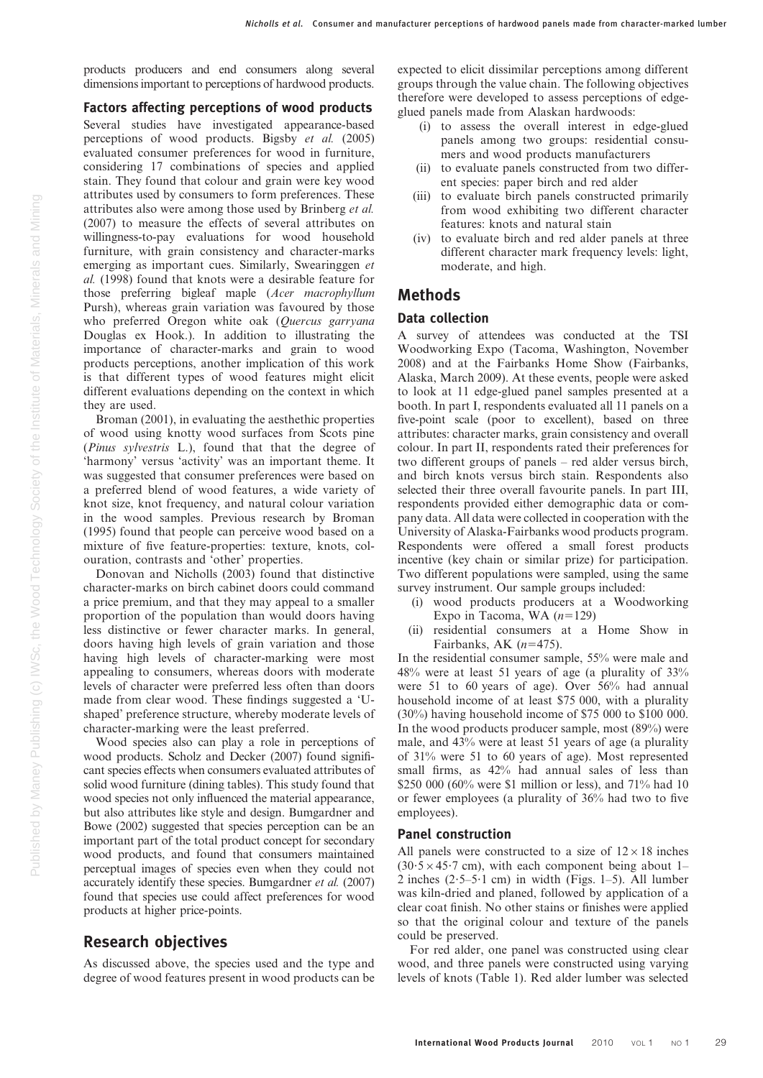products producers and end consumers along several dimensions important to perceptions of hardwood products.

Factors affecting perceptions of wood products Several studies have investigated appearance-based perceptions of wood products. Bigsby et al. (2005) evaluated consumer preferences for wood in furniture, considering 17 combinations of species and applied stain. They found that colour and grain were key wood attributes used by consumers to form preferences. These attributes also were among those used by Brinberg et al. (2007) to measure the effects of several attributes on willingness-to-pay evaluations for wood household furniture, with grain consistency and character-marks emerging as important cues. Similarly, Swearinggen et al. (1998) found that knots were a desirable feature for those preferring bigleaf maple (Acer macrophyllum Pursh), whereas grain variation was favoured by those who preferred Oregon white oak (Quercus garryana Douglas ex Hook.). In addition to illustrating the importance of character-marks and grain to wood products perceptions, another implication of this work is that different types of wood features might elicit different evaluations depending on the context in which they are used.

Broman (2001), in evaluating the aesthethic properties of wood using knotty wood surfaces from Scots pine (Pinus sylvestris L.), found that that the degree of 'harmony' versus 'activity' was an important theme. It was suggested that consumer preferences were based on a preferred blend of wood features, a wide variety of knot size, knot frequency, and natural colour variation in the wood samples. Previous research by Broman (1995) found that people can perceive wood based on a mixture of five feature-properties: texture, knots, colouration, contrasts and 'other' properties.

Donovan and Nicholls (2003) found that distinctive character-marks on birch cabinet doors could command a price premium, and that they may appeal to a smaller proportion of the population than would doors having less distinctive or fewer character marks. In general, doors having high levels of grain variation and those having high levels of character-marking were most appealing to consumers, whereas doors with moderate levels of character were preferred less often than doors made from clear wood. These findings suggested a 'Ushaped' preference structure, whereby moderate levels of character-marking were the least preferred.

Wood species also can play a role in perceptions of wood products. Scholz and Decker (2007) found significant species effects when consumers evaluated attributes of solid wood furniture (dining tables). This study found that wood species not only influenced the material appearance, but also attributes like style and design. Bumgardner and Bowe (2002) suggested that species perception can be an important part of the total product concept for secondary wood products, and found that consumers maintained perceptual images of species even when they could not accurately identify these species. Bumgardner et al. (2007) found that species use could affect preferences for wood products at higher price-points.

## Research objectives

As discussed above, the species used and the type and degree of wood features present in wood products can be

expected to elicit dissimilar perceptions among different groups through the value chain. The following objectives therefore were developed to assess perceptions of edgeglued panels made from Alaskan hardwoods:

- (i) to assess the overall interest in edge-glued panels among two groups: residential consumers and wood products manufacturers
- (ii) to evaluate panels constructed from two different species: paper birch and red alder
- (iii) to evaluate birch panels constructed primarily from wood exhibiting two different character features: knots and natural stain
- (iv) to evaluate birch and red alder panels at three different character mark frequency levels: light, moderate, and high.

## Methods

#### Data collection

A survey of attendees was conducted at the TSI Woodworking Expo (Tacoma, Washington, November 2008) and at the Fairbanks Home Show (Fairbanks, Alaska, March 2009). At these events, people were asked to look at 11 edge-glued panel samples presented at a booth. In part I, respondents evaluated all 11 panels on a five-point scale (poor to excellent), based on three attributes: character marks, grain consistency and overall colour. In part II, respondents rated their preferences for two different groups of panels – red alder versus birch, and birch knots versus birch stain. Respondents also selected their three overall favourite panels. In part III, respondents provided either demographic data or company data. All data were collected in cooperation with the University of Alaska-Fairbanks wood products program. Respondents were offered a small forest products incentive (key chain or similar prize) for participation. Two different populations were sampled, using the same survey instrument. Our sample groups included:

- (i) wood products producers at a Woodworking Expo in Tacoma, WA  $(n=129)$
- (ii) residential consumers at a Home Show in Fairbanks, AK  $(n=475)$ .

In the residential consumer sample, 55% were male and 48% were at least 51 years of age (a plurality of 33% were 51 to 60 years of age). Over 56% had annual household income of at least \$75 000, with a plurality (30%) having household income of \$75 000 to \$100 000. In the wood products producer sample, most (89%) were male, and 43% were at least 51 years of age (a plurality of 31% were 51 to 60 years of age). Most represented small firms, as 42% had annual sales of less than \$250 000 (60% were \$1 million or less), and 71% had 10 or fewer employees (a plurality of 36% had two to five employees).

#### Panel construction

All panels were constructed to a size of  $12 \times 18$  inches  $(30.5 \times 45.7 \text{ cm})$ , with each component being about 1– 2 inches  $(2.5-5.1 \text{ cm})$  in width (Figs. 1–5). All lumber was kiln-dried and planed, followed by application of a clear coat finish. No other stains or finishes were applied so that the original colour and texture of the panels could be preserved.

For red alder, one panel was constructed using clear wood, and three panels were constructed using varying levels of knots (Table 1). Red alder lumber was selected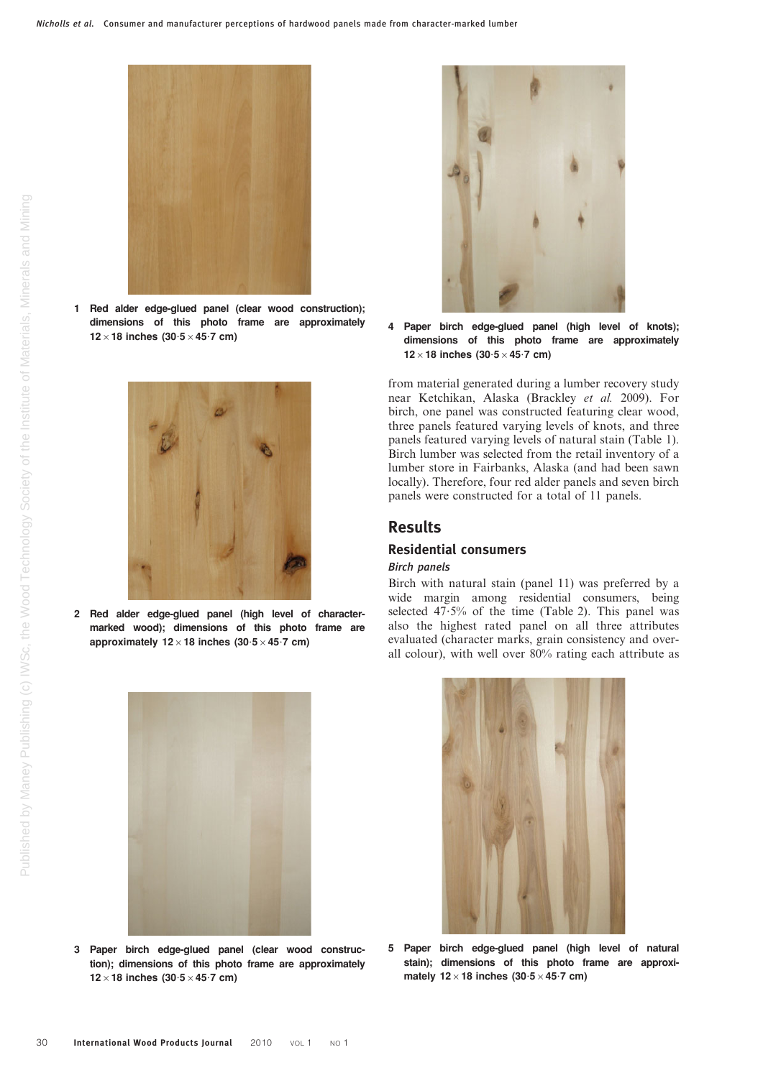

1 Red alder edge-glued panel (clear wood construction); dimensions of this photo frame are approximately  $12\times18$  inches (30.5  $\times$  45.7 cm)



2 Red alder edge-glued panel (high level of charactermarked wood); dimensions of this photo frame are approximately  $12\times18$  inches (30.5  $\times$  45.7 cm)



3 Paper birch edge-glued panel (clear wood construction); dimensions of this photo frame are approximately  $12\times18$  inches (30.5  $\times$  45.7 cm)



4 Paper birch edge-glued panel (high level of knots); dimensions of this photo frame are approximately  $12\times18$  inches (30 $\cdot$ 5  $\times$  45 $\cdot$ 7 cm)

from material generated during a lumber recovery study near Ketchikan, Alaska (Brackley et al. 2009). For birch, one panel was constructed featuring clear wood, three panels featured varying levels of knots, and three panels featured varying levels of natural stain (Table 1). Birch lumber was selected from the retail inventory of a lumber store in Fairbanks, Alaska (and had been sawn locally). Therefore, four red alder panels and seven birch panels were constructed for a total of 11 panels.

## Results

#### Residential consumers

#### Birch panels

Birch with natural stain (panel 11) was preferred by a wide margin among residential consumers, being selected  $47.5%$  of the time (Table 2). This panel was also the highest rated panel on all three attributes evaluated (character marks, grain consistency and overall colour), with well over 80% rating each attribute as



5 Paper birch edge-glued panel (high level of natural stain); dimensions of this photo frame are approximately  $12\times18$  inches (30.5 $\times$ 45.7 cm)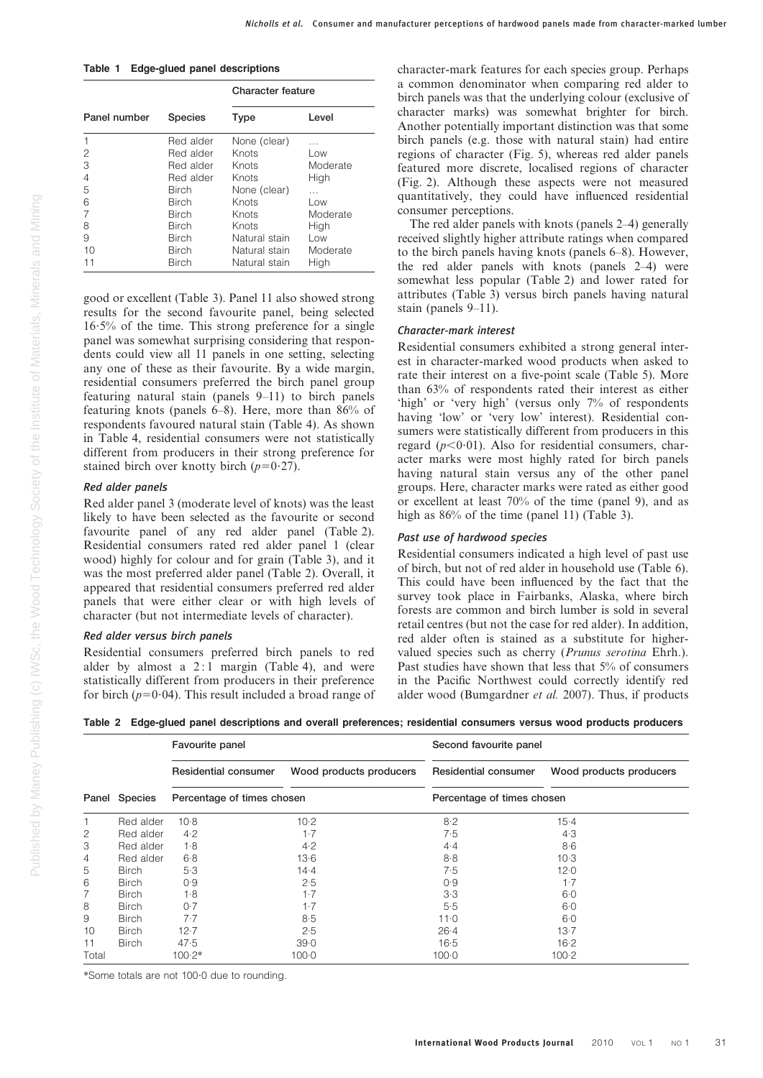Table 1 Edge-glued panel descriptions

|              |                | <b>Character feature</b> |          |  |  |
|--------------|----------------|--------------------------|----------|--|--|
| Panel number | <b>Species</b> | Type                     | Level    |  |  |
| 1            | Red alder      | None (clear)             | .        |  |  |
| 2            | Red alder      | Knots                    | Low      |  |  |
| 3            | Red alder      | Knots                    | Moderate |  |  |
| 4            | Red alder      | Knots                    | High     |  |  |
| 5            | <b>Birch</b>   | None (clear)             | $\cdots$ |  |  |
| 6            | Birch          | Knots                    | Low      |  |  |
| 7            | <b>Birch</b>   | Knots                    | Moderate |  |  |
| 8            | <b>Birch</b>   | Knots                    | High     |  |  |
| 9            | Birch          | Natural stain            | Low      |  |  |
| 10           | Birch          | Natural stain            | Moderate |  |  |
| 11           | <b>Birch</b>   | Natural stain            | High     |  |  |

good or excellent (Table 3). Panel 11 also showed strong results for the second favourite panel, being selected  $16.5\%$  of the time. This strong preference for a single panel was somewhat surprising considering that respondents could view all 11 panels in one setting, selecting any one of these as their favourite. By a wide margin, residential consumers preferred the birch panel group featuring natural stain (panels 9–11) to birch panels featuring knots (panels 6–8). Here, more than 86% of respondents favoured natural stain (Table 4). As shown in Table 4, residential consumers were not statistically different from producers in their strong preference for stained birch over knotty birch  $(p=0.27)$ .

#### Red alder panels

Red alder panel 3 (moderate level of knots) was the least likely to have been selected as the favourite or second favourite panel of any red alder panel (Table 2). Residential consumers rated red alder panel 1 (clear wood) highly for colour and for grain (Table 3), and it was the most preferred alder panel (Table 2). Overall, it appeared that residential consumers preferred red alder panels that were either clear or with high levels of character (but not intermediate levels of character).

#### Red alder versus birch panels

Residential consumers preferred birch panels to red alder by almost a  $2:1$  margin (Table 4), and were statistically different from producers in their preference for birch ( $p=0.04$ ). This result included a broad range of character-mark features for each species group. Perhaps a common denominator when comparing red alder to birch panels was that the underlying colour (exclusive of character marks) was somewhat brighter for birch. Another potentially important distinction was that some birch panels (e.g. those with natural stain) had entire regions of character (Fig. 5), whereas red alder panels featured more discrete, localised regions of character (Fig. 2). Although these aspects were not measured quantitatively, they could have influenced residential consumer perceptions.

The red alder panels with knots (panels 2–4) generally received slightly higher attribute ratings when compared to the birch panels having knots (panels 6–8). However, the red alder panels with knots (panels 2–4) were somewhat less popular (Table 2) and lower rated for attributes (Table 3) versus birch panels having natural stain (panels 9–11).

#### Character-mark interest

Residential consumers exhibited a strong general interest in character-marked wood products when asked to rate their interest on a five-point scale (Table 5). More than 63% of respondents rated their interest as either 'high' or 'very high' (versus only 7% of respondents having 'low' or 'very low' interest). Residential consumers were statistically different from producers in this regard ( $p<0.01$ ). Also for residential consumers, character marks were most highly rated for birch panels having natural stain versus any of the other panel groups. Here, character marks were rated as either good or excellent at least 70% of the time (panel 9), and as high as  $86\%$  of the time (panel 11) (Table 3).

#### Past use of hardwood species

Residential consumers indicated a high level of past use of birch, but not of red alder in household use (Table 6). This could have been influenced by the fact that the survey took place in Fairbanks, Alaska, where birch forests are common and birch lumber is sold in several retail centres (but not the case for red alder). In addition, red alder often is stained as a substitute for highervalued species such as cherry (Prunus serotina Ehrh.). Past studies have shown that less that 5% of consumers in the Pacific Northwest could correctly identify red alder wood (Bumgardner et al. 2007). Thus, if products

Table 2 Edge-glued panel descriptions and overall preferences; residential consumers versus wood products producers

|       |                                             | Favourite panel      |                            | Second favourite panel |                         |  |  |
|-------|---------------------------------------------|----------------------|----------------------------|------------------------|-------------------------|--|--|
|       |                                             | Residential consumer | Wood products producers    | Residential consumer   | Wood products producers |  |  |
|       | Panel Species<br>Percentage of times chosen |                      | Percentage of times chosen |                        |                         |  |  |
|       | Red alder                                   | $10-8$               | $10-2$                     | 8.2                    | $15-4$                  |  |  |
| 2     | Red alder                                   | 4.2                  | $1-7$                      | 7.5                    | 4.3                     |  |  |
| 3     | Red alder                                   | 1.8                  | 4.2                        | 4.4                    | 8·6                     |  |  |
| 4     | Red alder                                   | 6.8                  | 13.6                       | 8.8                    | 10.3                    |  |  |
| 5     | <b>Birch</b>                                | 5.3                  | 14.4                       | 7.5                    | 12.0                    |  |  |
| 6     | <b>Birch</b>                                | 0.9                  | 2.5                        | 0.9                    | $1 - 7$                 |  |  |
| 7     | <b>Birch</b>                                | 1.8                  | $1-7$                      | 3.3                    | 6.0                     |  |  |
| 8     | <b>Birch</b>                                | 0.7                  | 1.7                        | 5.5                    | 6.0                     |  |  |
| 9     | <b>Birch</b>                                | 7.7                  | 8.5                        | 11.0                   | 6.0                     |  |  |
| 10    | <b>Birch</b>                                | 12.7                 | 2.5                        | 26.4                   | 13.7                    |  |  |
| 11    | <b>Birch</b>                                | 47.5                 | 39.0                       | 16.5                   | $16 - 2$                |  |  |
| Total |                                             | $100.2*$             | 100.0                      | $100 - 0$              | 100.2                   |  |  |

\*Some totals are not 100?0 due to rounding.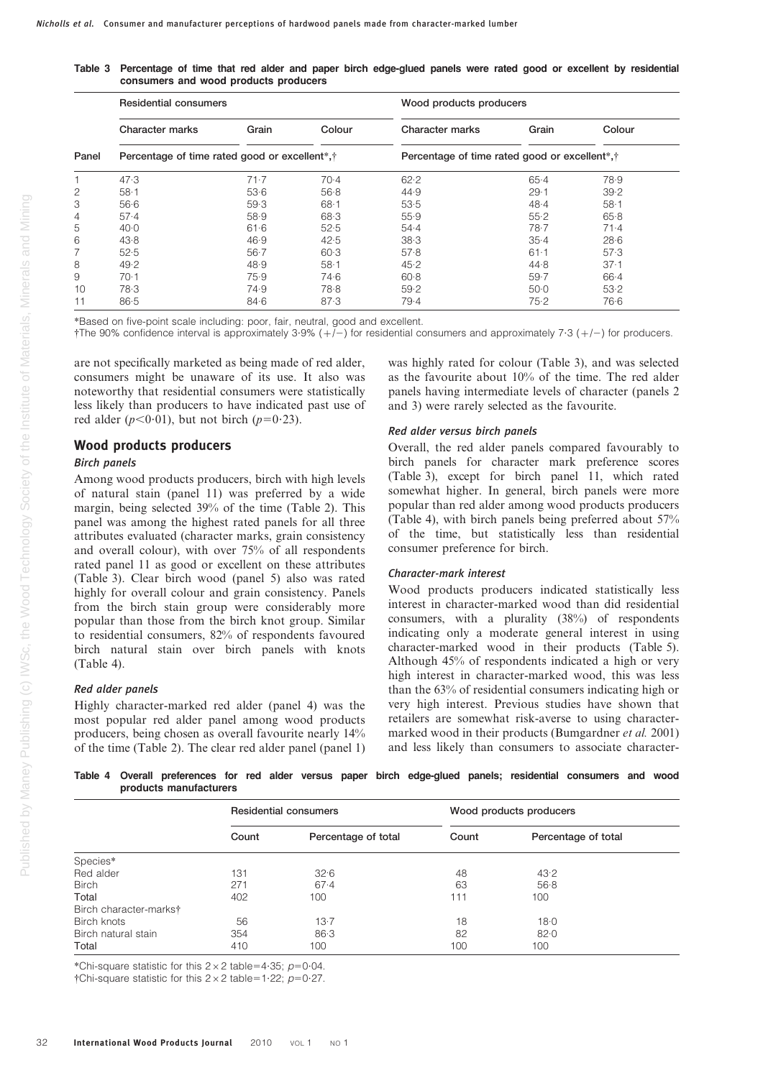Table 3 Percentage of time that red alder and paper birch edge-glued panels were rated good or excellent by residential consumers and wood products producers

|       | <b>Residential consumers</b>                                           |          |          |                                                             | Wood products producers |          |  |  |
|-------|------------------------------------------------------------------------|----------|----------|-------------------------------------------------------------|-------------------------|----------|--|--|
|       | Character marks                                                        | Grain    | Colour   | Character marks                                             | Grain                   | Colour   |  |  |
| Panel | Percentage of time rated good or excellent <sup>*</sup> , <sup>†</sup> |          |          | Percentage of time rated good or excellent <sup>*</sup> , † |                         |          |  |  |
|       | 47.3                                                                   | 71.7     | $70-4$   | 62.2                                                        | 65.4                    | 78.9     |  |  |
| 2     | $58 - 1$                                                               | 53.6     | 56.8     | 44.9                                                        | 29.1                    | 39.2     |  |  |
| 3     | 56.6                                                                   | 59.3     | 68.1     | 53.5                                                        | 48.4                    | $58 - 1$ |  |  |
| 4     | 57.4                                                                   | 58.9     | 68.3     | 55.9                                                        | 55.2                    | 65.8     |  |  |
| 5     | 40.0                                                                   | 61.6     | 52.5     | 54.4                                                        | 78.7                    | 71.4     |  |  |
| 6     | 43.8                                                                   | 46.9     | 42.5     | 38.3                                                        | 35.4                    | 28.6     |  |  |
|       | 52.5                                                                   | $56 - 7$ | 60.3     | 57.8                                                        | 61.1                    | 57.3     |  |  |
| 8     | 49.2                                                                   | 48.9     | $58 - 1$ | 45.2                                                        | 44.8                    | 37.1     |  |  |
| 9     | 70.1                                                                   | 75.9     | 74.6     | $60 - 8$                                                    | 59.7                    | 66.4     |  |  |
| 10    | 78.3                                                                   | 74.9     | 78.8     | 59.2                                                        | 50.0                    | 53.2     |  |  |
| 11    | 86.5                                                                   | 84.6     | 87.3     | 79.4                                                        | 75.2                    | 76.6     |  |  |

\*Based on five-point scale including: poor, fair, neutral, good and excellent.

 $\dagger$ The 90% confidence interval is approximately 3.9% ( $+\tilde{l}$ ) for residential consumers and approximately 7.3 ( $+/-$ ) for producers.

are not specifically marketed as being made of red alder, consumers might be unaware of its use. It also was noteworthy that residential consumers were statistically less likely than producers to have indicated past use of red alder  $(p<0.01)$ , but not birch  $(p=0.23)$ .

#### Wood products producers

#### Birch panels

Among wood products producers, birch with high levels of natural stain (panel 11) was preferred by a wide margin, being selected 39% of the time (Table 2). This panel was among the highest rated panels for all three attributes evaluated (character marks, grain consistency and overall colour), with over 75% of all respondents rated panel 11 as good or excellent on these attributes (Table 3). Clear birch wood (panel 5) also was rated highly for overall colour and grain consistency. Panels from the birch stain group were considerably more popular than those from the birch knot group. Similar to residential consumers, 82% of respondents favoured birch natural stain over birch panels with knots (Table 4).

#### Red alder panels

Highly character-marked red alder (panel 4) was the most popular red alder panel among wood products producers, being chosen as overall favourite nearly 14% of the time (Table 2). The clear red alder panel (panel 1)

was highly rated for colour (Table 3), and was selected as the favourite about 10% of the time. The red alder panels having intermediate levels of character (panels 2 and 3) were rarely selected as the favourite.

#### Red alder versus birch panels

Overall, the red alder panels compared favourably to birch panels for character mark preference scores (Table 3), except for birch panel 11, which rated somewhat higher. In general, birch panels were more popular than red alder among wood products producers (Table 4), with birch panels being preferred about 57% of the time, but statistically less than residential consumer preference for birch.

#### Character-mark interest

Wood products producers indicated statistically less interest in character-marked wood than did residential consumers, with a plurality (38%) of respondents indicating only a moderate general interest in using character-marked wood in their products (Table 5). Although 45% of respondents indicated a high or very high interest in character-marked wood, this was less than the 63% of residential consumers indicating high or very high interest. Previous studies have shown that retailers are somewhat risk-averse to using charactermarked wood in their products (Bumgardner et al. 2001) and less likely than consumers to associate character-

Table 4 Overall preferences for red alder versus paper birch edge-glued panels; residential consumers and wood products manufacturers

|                        |       | <b>Residential consumers</b> | Wood products producers |                     |  |
|------------------------|-------|------------------------------|-------------------------|---------------------|--|
|                        | Count | Percentage of total          | Count                   | Percentage of total |  |
| Species*               |       |                              |                         |                     |  |
| Red alder              | 131   | 32.6                         | 48                      | 43.2                |  |
| <b>Birch</b>           | 271   | 67.4                         | 63                      | 56.8                |  |
| Total                  | 402   | 100                          | 111                     | 100                 |  |
| Birch character-markst |       |                              |                         |                     |  |
| Birch knots            | 56    | $13-7$                       | 18                      | 18.0                |  |
| Birch natural stain    | 354   | 86.3                         | 82                      | 82.0                |  |
| Total                  | 410   | 100                          | 100                     | 100                 |  |

\*Chi-square statistic for this  $2\times2$  table=4 $\cdot35$ ; p=0 $\cdot$ 04.

 $\dagger$ Chi-square statistic for this 2 × 2 table=1 $\cdot$ 22; p=0 $\cdot$ 27.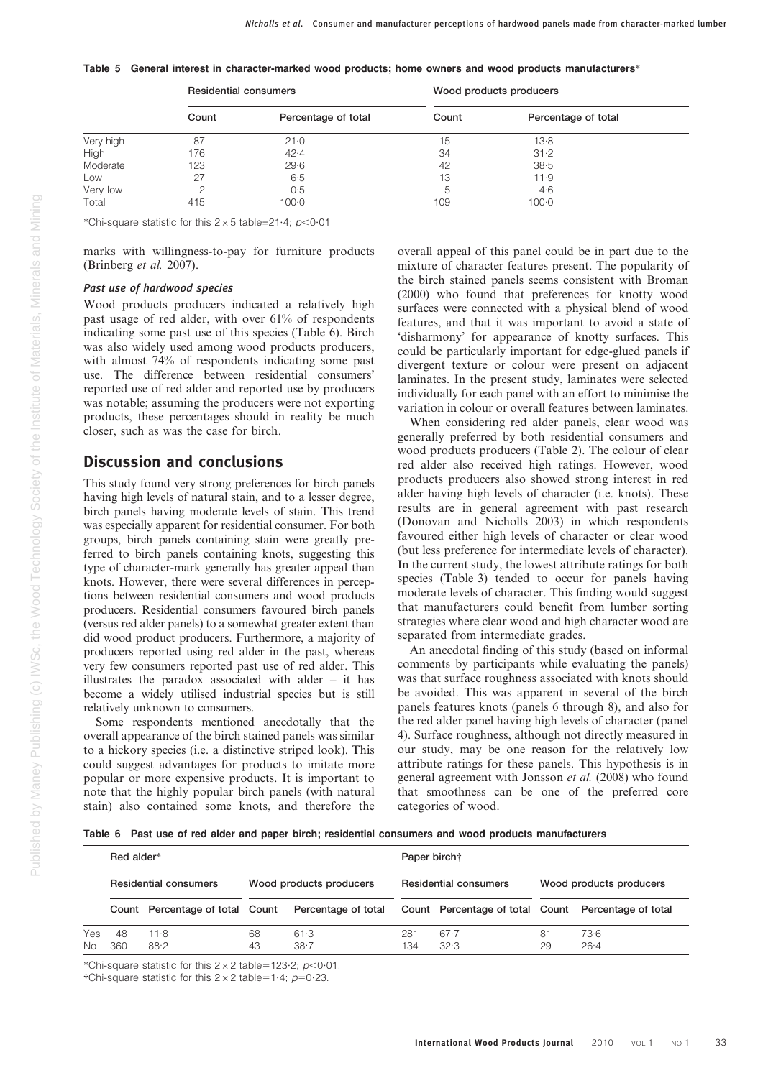|  |  | "Table 5 General interest in character-marked wood products; home owners and wood products manufacturers |  |  |  |  |
|--|--|----------------------------------------------------------------------------------------------------------|--|--|--|--|
|--|--|----------------------------------------------------------------------------------------------------------|--|--|--|--|

|           | <b>Residential consumers</b> |                     | Wood products producers |                     |  |  |
|-----------|------------------------------|---------------------|-------------------------|---------------------|--|--|
|           | Count                        | Percentage of total | Count                   | Percentage of total |  |  |
| Very high | 87                           | 21.0                | 15                      | 13.8                |  |  |
| High      | 176                          | 42.4                | 34                      | 31.2                |  |  |
| Moderate  | 123                          | 29.6                | 42                      | 38.5                |  |  |
| Low       | 27                           | 6.5                 | 13                      | 11.9                |  |  |
| Very low  | っ                            | 0.5                 | 5.                      | 4·6                 |  |  |
| Total     | 415                          | 100.0               | 109                     | 100.0               |  |  |

\*Chi-square statistic for this  $2\times5$  table=21.4; p<0.01

marks with willingness-to-pay for furniture products (Brinberg et al. 2007).

#### Past use of hardwood species

Wood products producers indicated a relatively high past usage of red alder, with over 61% of respondents indicating some past use of this species (Table 6). Birch was also widely used among wood products producers, with almost 74% of respondents indicating some past use. The difference between residential consumers' reported use of red alder and reported use by producers was notable; assuming the producers were not exporting products, these percentages should in reality be much closer, such as was the case for birch.

## Discussion and conclusions

This study found very strong preferences for birch panels having high levels of natural stain, and to a lesser degree, birch panels having moderate levels of stain. This trend was especially apparent for residential consumer. For both groups, birch panels containing stain were greatly preferred to birch panels containing knots, suggesting this type of character-mark generally has greater appeal than knots. However, there were several differences in perceptions between residential consumers and wood products producers. Residential consumers favoured birch panels (versus red alder panels) to a somewhat greater extent than did wood product producers. Furthermore, a majority of producers reported using red alder in the past, whereas very few consumers reported past use of red alder. This illustrates the paradox associated with alder – it has become a widely utilised industrial species but is still relatively unknown to consumers.

Some respondents mentioned anecdotally that the overall appearance of the birch stained panels was similar to a hickory species (i.e. a distinctive striped look). This could suggest advantages for products to imitate more popular or more expensive products. It is important to note that the highly popular birch panels (with natural stain) also contained some knots, and therefore the overall appeal of this panel could be in part due to the mixture of character features present. The popularity of the birch stained panels seems consistent with Broman (2000) who found that preferences for knotty wood surfaces were connected with a physical blend of wood features, and that it was important to avoid a state of 'disharmony' for appearance of knotty surfaces. This could be particularly important for edge-glued panels if divergent texture or colour were present on adjacent laminates. In the present study, laminates were selected individually for each panel with an effort to minimise the variation in colour or overall features between laminates.

When considering red alder panels, clear wood was generally preferred by both residential consumers and wood products producers (Table 2). The colour of clear red alder also received high ratings. However, wood products producers also showed strong interest in red alder having high levels of character (i.e. knots). These results are in general agreement with past research (Donovan and Nicholls 2003) in which respondents favoured either high levels of character or clear wood (but less preference for intermediate levels of character). In the current study, the lowest attribute ratings for both species (Table 3) tended to occur for panels having moderate levels of character. This finding would suggest that manufacturers could benefit from lumber sorting strategies where clear wood and high character wood are separated from intermediate grades.

An anecdotal finding of this study (based on informal comments by participants while evaluating the panels) was that surface roughness associated with knots should be avoided. This was apparent in several of the birch panels features knots (panels 6 through 8), and also for the red alder panel having high levels of character (panel 4). Surface roughness, although not directly measured in our study, may be one reason for the relatively low attribute ratings for these panels. This hypothesis is in general agreement with Jonsson et al. (2008) who found that smoothness can be one of the preferred core categories of wood.

Table 6 Past use of red alder and paper birch; residential consumers and wood products manufacturers

|            | Red alder*                   |                                 |                         |                     | Paper birch <sup>+</sup>     |                                                     |                         |                |  |
|------------|------------------------------|---------------------------------|-------------------------|---------------------|------------------------------|-----------------------------------------------------|-------------------------|----------------|--|
|            | <b>Residential consumers</b> |                                 | Wood products producers |                     | <b>Residential consumers</b> |                                                     | Wood products producers |                |  |
|            |                              | Count Percentage of total Count |                         | Percentage of total |                              | Count Percentage of total Count Percentage of total |                         |                |  |
| Yes<br>No. | 48<br>360                    | 11.8<br>88.2                    | 68<br>43                | 61.3<br>$38 - 7$    | 281<br>134                   | 67.7<br>32.3                                        | 81<br>29                | 73.6<br>$26-4$ |  |

\*Chi-square statistic for this  $2\times2$  table=123.2; p<0.01.

 $\dagger$ Chi-square statistic for this 2 × 2 table=1.4; p=0.23.